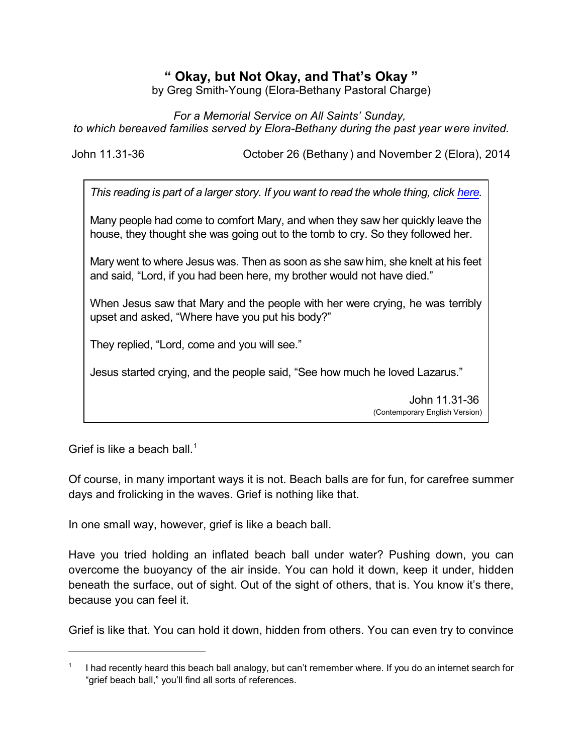## **" Okay, but Not Okay, and That's Okay "**

by Greg Smith-Young (Elora-Bethany Pastoral Charge)

*For a Memorial Service on All Saints' Sunday, to which bereaved families served by Elora-Bethany during the past year were invited.*

John 11.31-36 October 26 (Bethany ) and November 2 (Elora), 2014

*This reading is part of a larger story. If you want to read the whole thing, click [here](https://www.biblegateway.com/passage/?search=John+11%3A1-44&version=CEV).*

Many people had come to comfort Mary, and when they saw her quickly leave the house, they thought she was going out to the tomb to cry. So they followed her.

Mary went to where Jesus was. Then as soon as she saw him, she knelt at his feet and said, "Lord, if you had been here, my brother would not have died."

When Jesus saw that Mary and the people with her were crying, he was terribly upset and asked, "Where have you put his body?"

They replied, "Lord, come and you will see."

Jesus started crying, and the people said, "See how much he loved Lazarus."

John 11.31-36 (Contemporary English Version)

Grief is like a beach ball.<sup>1</sup>

Of course, in many important ways it is not. Beach balls are for fun, for carefree summer days and frolicking in the waves. Grief is nothing like that.

In one small way, however, grief is like a beach ball.

Have you tried holding an inflated beach ball under water? Pushing down, you can overcome the buoyancy of the air inside. You can hold it down, keep it under, hidden beneath the surface, out of sight. Out of the sight of others, that is. You know it's there, because you can feel it.

Grief is like that. You can hold it down, hidden from others. You can even try to convince

<sup>1</sup> I had recently heard this beach ball analogy, but can't remember where. If you do an internet search for "grief beach ball," you'll find all sorts of references.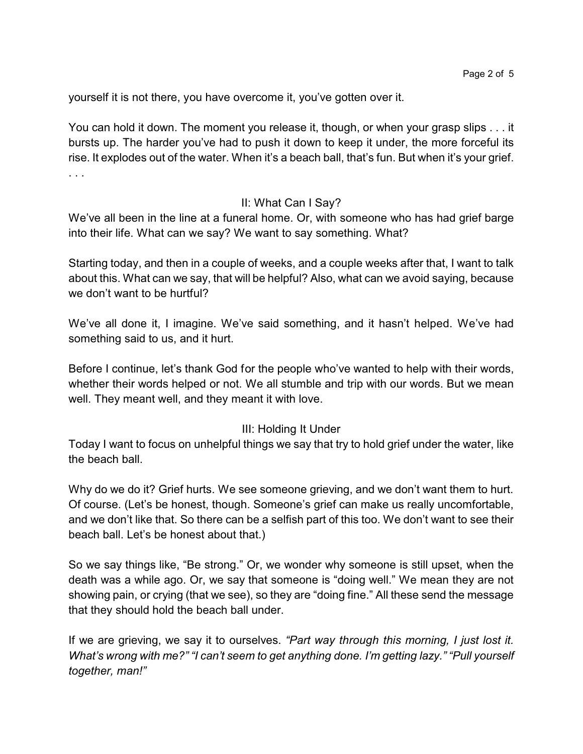yourself it is not there, you have overcome it, you've gotten over it.

You can hold it down. The moment you release it, though, or when your grasp slips . . . it bursts up. The harder you've had to push it down to keep it under, the more forceful its rise. It explodes out of the water. When it's a beach ball, that's fun. But when it's your grief. . . .

## II: What Can I Say?

We've all been in the line at a funeral home. Or, with someone who has had grief barge into their life. What can we say? We want to say something. What?

Starting today, and then in a couple of weeks, and a couple weeks after that, I want to talk about this. What can we say, that will be helpful? Also, what can we avoid saying, because we don't want to be hurtful?

We've all done it, I imagine. We've said something, and it hasn't helped. We've had something said to us, and it hurt.

Before I continue, let's thank God for the people who've wanted to help with their words, whether their words helped or not. We all stumble and trip with our words. But we mean well. They meant well, and they meant it with love.

## III: Holding It Under

Today I want to focus on unhelpful things we say that try to hold grief under the water, like the beach ball.

Why do we do it? Grief hurts. We see someone grieving, and we don't want them to hurt. Of course. (Let's be honest, though. Someone's grief can make us really uncomfortable, and we don't like that. So there can be a selfish part of this too. We don't want to see their beach ball. Let's be honest about that.)

So we say things like, "Be strong." Or, we wonder why someone is still upset, when the death was a while ago. Or, we say that someone is "doing well." We mean they are not showing pain, or crying (that we see), so they are "doing fine." All these send the message that they should hold the beach ball under.

If we are grieving, we say it to ourselves. *"Part way through this morning, I just lost it. What's wrong with me?" "I can't seem to get anything done. I'm getting lazy." "Pull yourself together, man!"*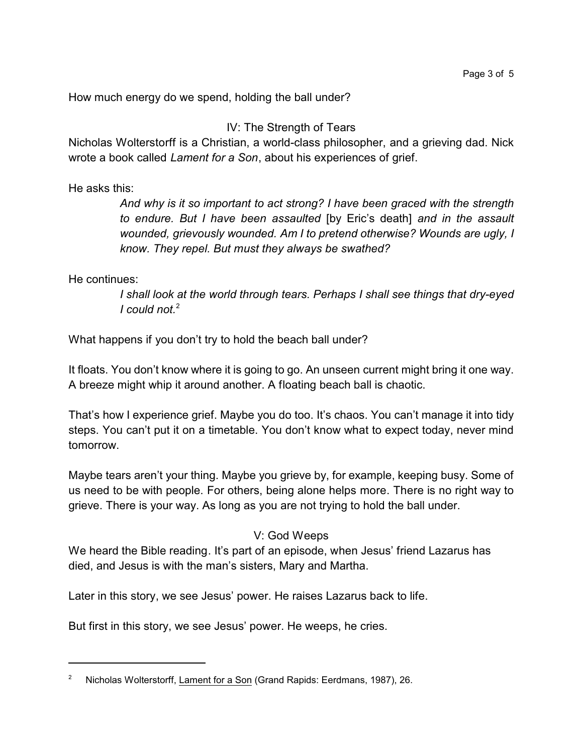How much energy do we spend, holding the ball under?

IV: The Strength of Tears

Nicholas Wolterstorff is a Christian, a world-class philosopher, and a grieving dad. Nick wrote a book called *Lament for a Son*, about his experiences of grief.

He asks this:

*And why is it so important to act strong? I have been graced with the strength to endure. But I have been assaulted* [by Eric's death] *and in the assault wounded, grievously wounded. Am I to pretend otherwise? Wounds are ugly, I know. They repel. But must they always be swathed?*

He continues:

*I shall look at the world through tears. Perhaps I shall see things that dry-eyed I could not.*<sup>2</sup>

What happens if you don't try to hold the beach ball under?

It floats. You don't know where it is going to go. An unseen current might bring it one way. A breeze might whip it around another. A floating beach ball is chaotic.

That's how I experience grief. Maybe you do too. It's chaos. You can't manage it into tidy steps. You can't put it on a timetable. You don't know what to expect today, never mind tomorrow.

Maybe tears aren't your thing. Maybe you grieve by, for example, keeping busy. Some of us need to be with people. For others, being alone helps more. There is no right way to grieve. There is your way. As long as you are not trying to hold the ball under.

## V: God Weeps

We heard the Bible reading. It's part of an episode, when Jesus' friend Lazarus has died, and Jesus is with the man's sisters, Mary and Martha.

Later in this story, we see Jesus' power. He raises Lazarus back to life.

But first in this story, we see Jesus' power. He weeps, he cries.

<sup>&</sup>lt;sup>2</sup> Nicholas Wolterstorff, Lament for a Son (Grand Rapids: Eerdmans, 1987), 26.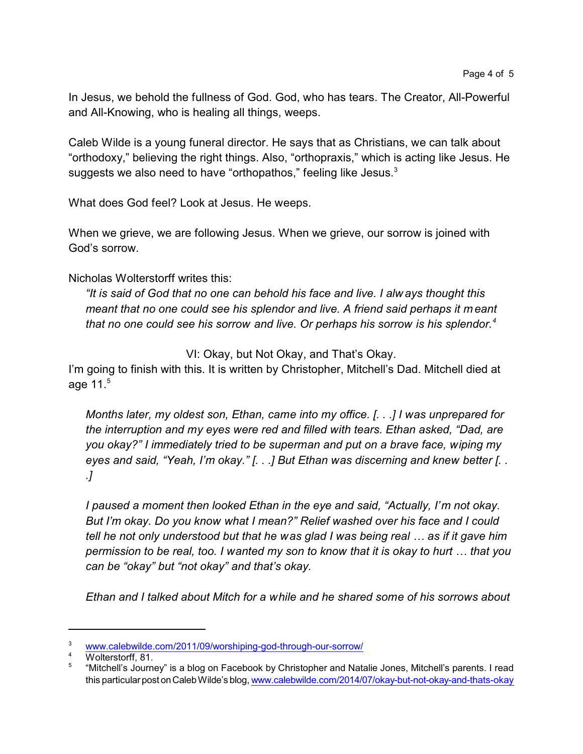In Jesus, we behold the fullness of God. God, who has tears. The Creator, All-Powerful and All-Knowing, who is healing all things, weeps.

Caleb Wilde is a young funeral director. He says that as Christians, we can talk about "orthodoxy," believing the right things. Also, "orthopraxis," which is acting like Jesus. He suggests we also need to have "orthopathos," feeling like Jesus.<sup>3</sup>

What does God feel? Look at Jesus. He weeps.

When we grieve, we are following Jesus. When we grieve, our sorrow is joined with God's sorrow.

Nicholas Wolterstorff writes this:

*"It is said of God that no one can behold his face and live. I alw ays thought this meant that no one could see his splendor and live. A friend said perhaps it m eant that no one could see his sorrow and live. Or perhaps his sorrow is his splendor.<sup>4</sup>*

VI: Okay, but Not Okay, and That's Okay.

I'm going to finish with this. It is written by Christopher, Mitchell's Dad. Mitchell died at age  $11<sup>5</sup>$ 

*Months later, my oldest son, Ethan, came into my office. [. . .] I was unprepared for the interruption and my eyes were red and filled with tears. Ethan asked, "Dad, are you okay?" I immediately tried to be superman and put on a brave face, wiping my eyes and said, "Yeah, I'm okay." [. . .] But Ethan was discerning and knew better [. . .]*

*I paused a moment then looked Ethan in the eye and said, "Actually, I'm not okay. But I'm okay. Do you know what I mean?" Relief washed over his face and I could tell he not only understood but that he was glad I was being real … as if it gave him permission to be real, too. I wanted my son to know that it is okay to hurt … that you can be "okay" but "not okay" and that's okay.*

*Ethan and I talked about Mitch for a while and he shared some of his sorrows about*

<sup>&</sup>lt;sup>3</sup> [www.calebwilde.com/2011/09/worshiping-god-through-our-sorrow/](http://www.calebwilde.com/2011/09/worshiping-god-through-our-sorrow/)

Wolterstorff, 81.

<sup>5</sup> "Mitchell's Journey" is a blog on Facebook by Christopher and Natalie Jones, Mitchell's parents. I read this particular post onCalebWilde's blog, [www.calebwilde.com/2014/07/okay-but-not-okay-and-thats-okay](http://www.calebwilde.com/2014/07/okay-but-not-okay-and-thats-okay)